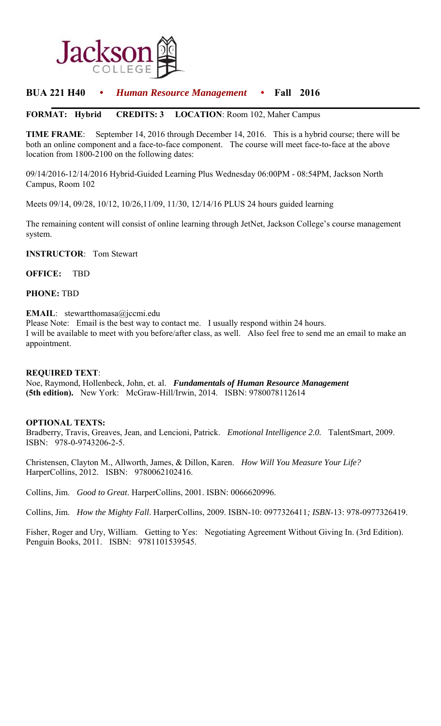

# **BUA 221 H40** • *Human Resource Management* • **Fall 2016**

## **FORMAT: Hybrid CREDITS: 3 LOCATION**: Room 102, Maher Campus

**TIME FRAME**: September 14, 2016 through December 14, 2016. This is a hybrid course; there will be both an online component and a face-to-face component. The course will meet face-to-face at the above location from 1800-2100 on the following dates:

09/14/2016-12/14/2016 Hybrid-Guided Learning Plus Wednesday 06:00PM - 08:54PM, Jackson North Campus, Room 102

Meets 09/14, 09/28, 10/12, 10/26,11/09, 11/30, 12/14/16 PLUS 24 hours guided learning

The remaining content will consist of online learning through JetNet, Jackson College's course management system.

**INSTRUCTOR**: Tom Stewart

**OFFICE:** TBD

**PHONE:** TBD

#### **EMAIL**: stewartthomasa@jccmi.edu

Please Note: Email is the best way to contact me. I usually respond within 24 hours. I will be available to meet with you before/after class, as well. Also feel free to send me an email to make an appointment.

#### **REQUIRED TEXT**:

Noe, Raymond, Hollenbeck, John, et. al. *Fundamentals of Human Resource Management* **(5th edition).** New York: McGraw-Hill/Irwin, 2014. ISBN: 9780078112614

#### **OPTIONAL TEXTS:**

Bradberry, Travis, Greaves, Jean, and Lencioni, Patrick. *Emotional Intelligence 2.0.* TalentSmart, 2009. ISBN: 978-0-9743206-2-5.

Christensen, Clayton M., Allworth, James, & Dillon, Karen. *How Will You Measure Your Life?* HarperCollins, 2012. ISBN: 9780062102416.

Collins, Jim. *Good to Great*. HarperCollins, 2001. ISBN: 0066620996.

Collins, Jim. *How the Mighty Fall*. HarperCollins, 2009. ISBN-10: 0977326411*; ISBN*-13: 978-0977326419.

Fisher, Roger and Ury, William. Getting to Yes: Negotiating Agreement Without Giving In. (3rd Edition). Penguin Books, 2011. ISBN: 9781101539545.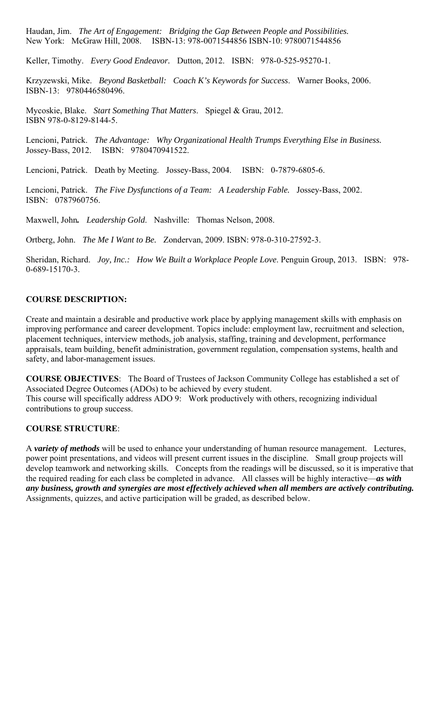Haudan, Jim. *The Art of Engagement: Bridging the Gap Between People and Possibilities.*  New York: McGraw Hill, 2008. ISBN-13: 978-0071544856 ISBN-10: 9780071544856

Keller, Timothy. *Every Good Endeavor.* Dutton, 2012. ISBN: 978-0-525-95270-1.

Krzyzewski, Mike. *Beyond Basketball: Coach K's Keywords for Success*. Warner Books, 2006. ISBN-13: 9780446580496.

Mycoskie, Blake. *Start Something That Matters*. Spiegel & Grau, 2012. ISBN 978-0-8129-8144-5.

Lencioni, Patrick. *The Advantage: Why Organizational Health Trumps Everything Else in Business.* Jossey-Bass, 2012. ISBN: 9780470941522.

Lencioni, Patrick. Death by Meeting. Jossey-Bass, 2004. ISBN: 0-7879-6805-6.

Lencioni, Patrick. *The Five Dysfunctions of a Team: A Leadership Fable.* Jossey-Bass, 2002. ISBN: 0787960756.

Maxwell, John*. Leadership Gold*. Nashville: Thomas Nelson, 2008.

Ortberg, John. *The Me I Want to Be.* Zondervan, 2009. ISBN: 978-0-310-27592-3.

Sheridan, Richard. *Joy, Inc.: How We Built a Workplace People Love*. Penguin Group, 2013. ISBN: 978- 0-689-15170-3.

#### **COURSE DESCRIPTION:**

Create and maintain a desirable and productive work place by applying management skills with emphasis on improving performance and career development. Topics include: employment law, recruitment and selection, placement techniques, interview methods, job analysis, staffing, training and development, performance appraisals, team building, benefit administration, government regulation, compensation systems, health and safety, and labor-management issues.

**COURSE OBJECTIVES**: The Board of Trustees of Jackson Community College has established a set of Associated Degree Outcomes (ADOs) to be achieved by every student. This course will specifically address ADO 9: Work productively with others, recognizing individual contributions to group success.

#### **COURSE STRUCTURE**:

A *variety of methods* will be used to enhance your understanding of human resource management. Lectures, power point presentations, and videos will present current issues in the discipline. Small group projects will develop teamwork and networking skills. Concepts from the readings will be discussed, so it is imperative that the required reading for each class be completed in advance. All classes will be highly interactive—*as with any business, growth and synergies are most effectively achieved when all members are actively contributing.*  Assignments, quizzes, and active participation will be graded, as described below.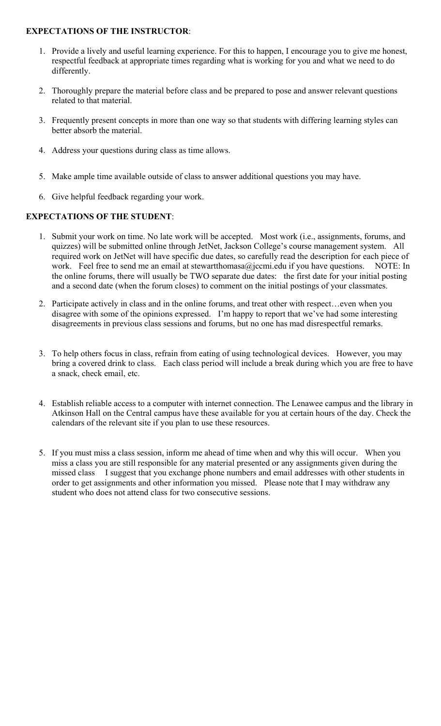#### **EXPECTATIONS OF THE INSTRUCTOR**:

- 1. Provide a lively and useful learning experience. For this to happen, I encourage you to give me honest, respectful feedback at appropriate times regarding what is working for you and what we need to do differently.
- 2. Thoroughly prepare the material before class and be prepared to pose and answer relevant questions related to that material.
- 3. Frequently present concepts in more than one way so that students with differing learning styles can better absorb the material.
- 4. Address your questions during class as time allows.
- 5. Make ample time available outside of class to answer additional questions you may have.
- 6. Give helpful feedback regarding your work.

### **EXPECTATIONS OF THE STUDENT**:

- 1. Submit your work on time. No late work will be accepted. Most work (i.e., assignments, forums, and quizzes) will be submitted online through JetNet, Jackson College's course management system. All required work on JetNet will have specific due dates, so carefully read the description for each piece of work. Feel free to send me an email at stewartthomasa@jccmi.edu if you have questions. NOTE: In the online forums, there will usually be TWO separate due dates: the first date for your initial posting and a second date (when the forum closes) to comment on the initial postings of your classmates.
- 2. Participate actively in class and in the online forums, and treat other with respect…even when you disagree with some of the opinions expressed. I'm happy to report that we've had some interesting disagreements in previous class sessions and forums, but no one has mad disrespectful remarks.
- 3. To help others focus in class, refrain from eating of using technological devices. However, you may bring a covered drink to class. Each class period will include a break during which you are free to have a snack, check email, etc.
- 4. Establish reliable access to a computer with internet connection. The Lenawee campus and the library in Atkinson Hall on the Central campus have these available for you at certain hours of the day. Check the calendars of the relevant site if you plan to use these resources.
- 5. If you must miss a class session, inform me ahead of time when and why this will occur. When you miss a class you are still responsible for any material presented or any assignments given during the missed class I suggest that you exchange phone numbers and email addresses with other students in order to get assignments and other information you missed. Please note that I may withdraw any student who does not attend class for two consecutive sessions.